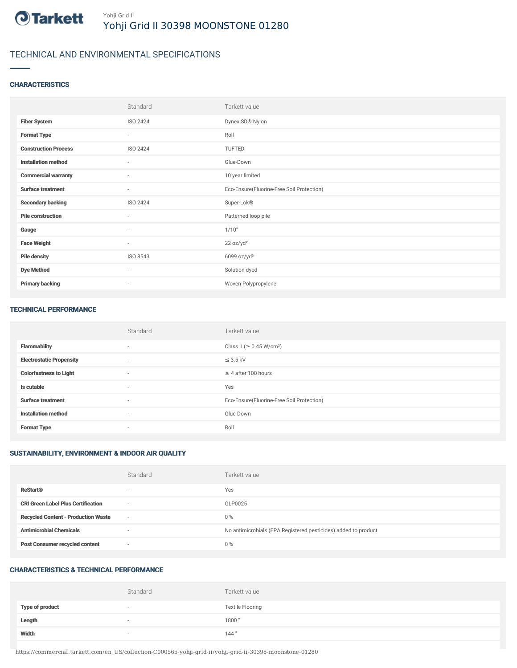

# TECHNICAL AND ENVIRONMENTAL SPECIFICATIONS

## **CHARACTERISTICS**

|                             | Standard                 | Tarkett value                             |
|-----------------------------|--------------------------|-------------------------------------------|
| <b>Fiber System</b>         | ISO 2424                 | Dynex SD® Nylon                           |
| <b>Format Type</b>          | $\sim$                   | Roll                                      |
| <b>Construction Process</b> | ISO 2424                 | TUFTED                                    |
| <b>Installation method</b>  | $\overline{\phantom{a}}$ | Glue-Down                                 |
| <b>Commercial warranty</b>  | ٠                        | 10 year limited                           |
| <b>Surface treatment</b>    | $\sim$                   | Eco-Ensure(Fluorine-Free Soil Protection) |
| <b>Secondary backing</b>    | ISO 2424                 | Super-Lok®                                |
| <b>Pile construction</b>    | ٠                        | Patterned loop pile                       |
| Gauge                       | $\overline{\phantom{a}}$ | 1/10"                                     |
| <b>Face Weight</b>          | $\overline{\phantom{a}}$ | 22 oz/yd <sup>2</sup>                     |
| <b>Pile density</b>         | ISO 8543                 | 6099 oz/yd <sup>3</sup>                   |
| <b>Dye Method</b>           | $\overline{\phantom{a}}$ | Solution dyed                             |
| <b>Primary backing</b>      | ٠                        | Woven Polypropylene                       |

#### TECHNICAL PERFORMANCE

|                                 | Standard                 | Tarkett value                             |
|---------------------------------|--------------------------|-------------------------------------------|
| <b>Flammability</b>             | $\sim$                   | Class 1 (≥ 0.45 W/cm <sup>2</sup> )       |
| <b>Electrostatic Propensity</b> | $\overline{\phantom{a}}$ | $\leq$ 3.5 kV                             |
| <b>Colorfastness to Light</b>   | $\sim$                   | $\geq$ 4 after 100 hours                  |
| Is cutable                      | $\sim$                   | Yes                                       |
| <b>Surface treatment</b>        | $\sim$                   | Eco-Ensure(Fluorine-Free Soil Protection) |
| <b>Installation method</b>      | $\sim$                   | Glue-Down                                 |
| <b>Format Type</b>              | $\sim$                   | Roll                                      |

# SUSTAINABILITY, ENVIRONMENT & INDOOR AIR QUALITY

|                                            | Standard                 | Tarkett value                                                  |
|--------------------------------------------|--------------------------|----------------------------------------------------------------|
| <b>ReStart®</b>                            | $\overline{\phantom{a}}$ | Yes                                                            |
| <b>CRI Green Label Plus Certification</b>  | $\overline{\phantom{a}}$ | GLP0025                                                        |
| <b>Recycled Content - Production Waste</b> | $\sim$                   | $0\%$                                                          |
| <b>Antimicrobial Chemicals</b>             | $\overline{\phantom{a}}$ | No antimicrobials (EPA Registered pesticides) added to product |
| <b>Post Consumer recycled content</b>      | $\overline{\phantom{a}}$ | $0\%$                                                          |

## CHARACTERISTICS & TECHNICAL PERFORMANCE

|                        | Standard | Tarkett value           |
|------------------------|----------|-------------------------|
| <b>Type of product</b> | $\sim$   | <b>Textile Flooring</b> |
| Length                 |          | 1800                    |
| Width                  | $\sim$   | 144"                    |

https://commercial.tarkett.com/en\_US/collection-C000565-yohji-grid-ii/yohji-grid-ii-30398-moonstone-01280